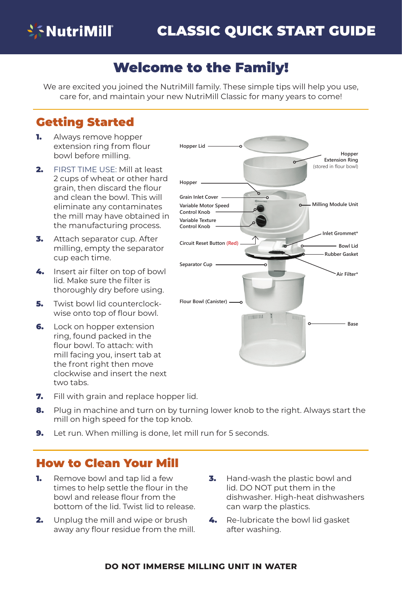

## Welcome to the Family!

We are excited you joined the NutriMill family. These simple tips will help you use, care for, and maintain your new NutriMill Classic for many years to come!

### Getting Started

- **1.** Always remove hopper extension ring from flour bowl before milling.
- 2. FIRST TIME USE: Mill at least 2 cups of wheat or other hard grain, then discard the flour and clean the bowl. This will eliminate any contaminates the mill may have obtained in the manufacturing process.
- 3. Attach separator cup. After milling, empty the separator cup each time.
- 4. Insert air filter on top of bowl lid. Make sure the filter is thoroughly dry before using.
- **5.** Twist bowl lid counterclockwise onto top of flour bowl.
- 6. Lock on hopper extension ring, found packed in the flour bowl. To attach: with mill facing you, insert tab at the front right then move clockwise and insert the next two tabs.
- **7.** Fill with grain and replace hopper lid.
- 8. Plug in machine and turn on by turning lower knob to the right. Always start the mill on high speed for the top knob.
- 9. Let run. When milling is done, let mill run for 5 seconds.

### How to Clean Your Mill

- **1.** Remove bowl and tap lid a few times to help settle the flour in the bowl and release flour from the bottom of the lid. Twist lid to release.
- **2.** Unplug the mill and wipe or brush away any flour residue from the mill.
- **3.** Hand-wash the plastic bowl and lid. DO NOT put them in the dishwasher. High-heat dishwashers can warp the plastics.
- 4. Re-lubricate the bowl lid gasket after washing.

#### **do not immerse milling unit in water**